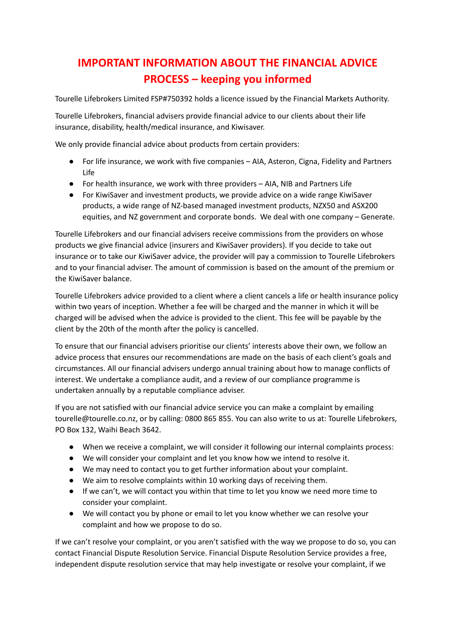## **IMPORTANT INFORMATION ABOUT THE FINANCIAL ADVICE PROCESS – keeping you informed**

Tourelle Lifebrokers Limited FSP#750392 holds a licence issued by the Financial Markets Authority.

Tourelle Lifebrokers, financial advisers provide financial advice to our clients about their life insurance, disability, health/medical insurance, and Kiwisaver.

We only provide financial advice about products from certain providers:

- For life insurance, we work with five companies AIA, Asteron, Cigna, Fidelity and Partners Life
- For health insurance, we work with three providers AIA, NIB and Partners Life
- For KiwiSaver and investment products, we provide advice on a wide range KiwiSaver products, a wide range of NZ-based managed investment products, NZX50 and ASX200 equities, and NZ government and corporate bonds. We deal with one company – Generate.

Tourelle Lifebrokers and our financial advisers receive commissions from the providers on whose products we give financial advice (insurers and KiwiSaver providers). If you decide to take out insurance or to take our KiwiSaver advice, the provider will pay a commission to Tourelle Lifebrokers and to your financial adviser. The amount of commission is based on the amount of the premium or the KiwiSaver balance.

Tourelle Lifebrokers advice provided to a client where a client cancels a life or health insurance policy within two years of inception. Whether a fee will be charged and the manner in which it will be charged will be advised when the advice is provided to the client. This fee will be payable by the client by the 20th of the month after the policy is cancelled.

To ensure that our financial advisers prioritise our clients' interests above their own, we follow an advice process that ensures our recommendations are made on the basis of each client's goals and circumstances. All our financial advisers undergo annual training about how to manage conflicts of interest. We undertake a compliance audit, and a review of our compliance programme is undertaken annually by a reputable compliance adviser.

If you are not satisfied with our financial advice service you can make a complaint by emailing tourelle@tourelle.co.nz, or by calling: 0800 865 855. You can also write to us at: Tourelle Lifebrokers, PO Box 132, Waihi Beach 3642.

- When we receive a complaint, we will consider it following our internal complaints process:
- We will consider your complaint and let you know how we intend to resolve it.
- We may need to contact you to get further information about your complaint.
- We aim to resolve complaints within 10 working days of receiving them.
- If we can't, we will contact you within that time to let you know we need more time to consider your complaint.
- We will contact you by phone or email to let you know whether we can resolve your complaint and how we propose to do so.

If we can't resolve your complaint, or you aren't satisfied with the way we propose to do so, you can contact Financial Dispute Resolution Service. Financial Dispute Resolution Service provides a free, independent dispute resolution service that may help investigate or resolve your complaint, if we